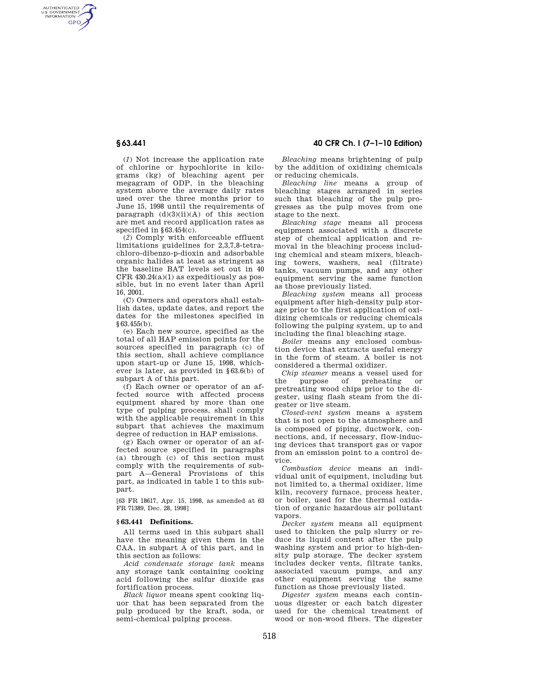AUTHENTICATED<br>U.S. GOVERNMENT<br>INFORMATION **GPO** 

> (*1*) Not increase the application rate of chlorine or hypochlorite in kilograms (kg) of bleaching agent per megagram of ODP, in the bleaching system above the average daily rates used over the three months prior to June 15, 1998 until the requirements of paragraph  $(d)(3)(ii)(A)$  of this section are met and record application rates as specified in §63.454(c).

> (*2*) Comply with enforceable effluent limitations guidelines for 2,3,7,8-tetrachloro-dibenzo-p-dioxin and adsorbable organic halides at least as stringent as the baseline BAT levels set out in 40 CFR  $430.24(a)(1)$  as expeditiously as possible, but in no event later than April 16, 2001.

> (C) Owners and operators shall establish dates, update dates, and report the dates for the milestones specified in §63.455(b).

> (e) Each new source, specified as the total of all HAP emission points for the sources specified in paragraph (c) of this section, shall achieve compliance upon start-up or June 15, 1998, whichever is later, as provided in §63.6(b) of subpart A of this part.

> (f) Each owner or operator of an affected source with affected process equipment shared by more than one type of pulping process, shall comply with the applicable requirement in this subpart that achieves the maximum degree of reduction in HAP emissions.

> (g) Each owner or operator of an affected source specified in paragraphs (a) through (c) of this section must comply with the requirements of subpart A—General Provisions of this part, as indicated in table 1 to this subpart.

[63 FR 18617, Apr. 15, 1998, as amended at 63 FR 71389, Dec. 28, 1998]

#### **§ 63.441 Definitions.**

All terms used in this subpart shall have the meaning given them in the CAA, in subpart A of this part, and in this section as follows:

*Acid condensate storage tank* means any storage tank containing cooking acid following the sulfur dioxide gas fortification process.

*Black liquor* means spent cooking liquor that has been separated from the pulp produced by the kraft, soda, or semi-chemical pulping process.

**§ 63.441 40 CFR Ch. I (7–1–10 Edition)** 

*Bleaching* means brightening of pulp by the addition of oxidizing chemicals or reducing chemicals.

*Bleaching line* means a group of bleaching stages arranged in series such that bleaching of the pulp progresses as the pulp moves from one stage to the next.

*Bleaching stage* means all process equipment associated with a discrete step of chemical application and removal in the bleaching process including chemical and steam mixers, bleaching towers, washers, seal (filtrate) tanks, vacuum pumps, and any other equipment serving the same function as those previously listed.

*Bleaching system* means all process equipment after high-density pulp storage prior to the first application of oxidizing chemicals or reducing chemicals following the pulping system, up to and including the final bleaching stage.

*Boiler* means any enclosed combustion device that extracts useful energy in the form of steam. A boiler is not considered a thermal oxidizer.

*Chip steamer* means a vessel used for<br>the purpose of preheating or purpose of preheating or pretreating wood chips prior to the digester, using flash steam from the digester or live steam.

*Closed-vent system* means a system that is not open to the atmosphere and is composed of piping, ductwork, connections, and, if necessary, flow-inducing devices that transport gas or vapor from an emission point to a control device.

*Combustion device* means an individual unit of equipment, including but not limited to, a thermal oxidizer, lime kiln, recovery furnace, process heater, or boiler, used for the thermal oxidation of organic hazardous air pollutant vapors

*Decker system* means all equipment used to thicken the pulp slurry or reduce its liquid content after the pulp washing system and prior to high-density pulp storage. The decker system includes decker vents, filtrate tanks, associated vacuum pumps, and any other equipment serving the same function as those previously listed.

*Digester system* means each continuous digester or each batch digester used for the chemical treatment of wood or non-wood fibers. The digester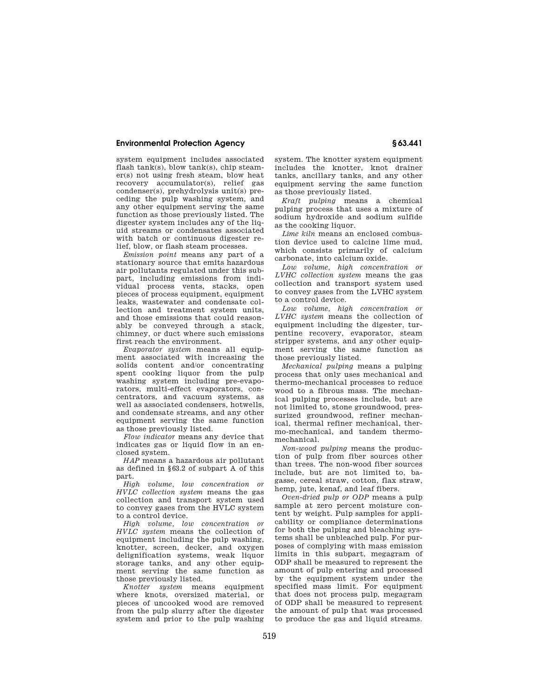## **Environmental Protection Agency § 63.441**

system equipment includes associated flash tank(s), blow tank(s), chip steamer(s) not using fresh steam, blow heat recovery accumulator(s), relief gas condenser(s), prehydrolysis unit(s) preceding the pulp washing system, and any other equipment serving the same function as those previously listed. The digester system includes any of the liquid streams or condensates associated with batch or continuous digester relief, blow, or flash steam processes.

*Emission point* means any part of a stationary source that emits hazardous air pollutants regulated under this subpart, including emissions from individual process vents, stacks, open pieces of process equipment, equipment leaks, wastewater and condensate collection and treatment system units and those emissions that could reasonably be conveyed through a stack, chimney, or duct where such emissions first reach the environment.

*Evaporator system* means all equipment associated with increasing the solids content and/or concentrating spent cooking liquor from the pulp washing system including pre-evaporators, multi-effect evaporators, concentrators, and vacuum systems, as well as associated condensers, hotwells, and condensate streams, and any other equipment serving the same function as those previously listed.

*Flow indicator* means any device that indicates gas or liquid flow in an enclosed system.

*HAP* means a hazardous air pollutant as defined in §63.2 of subpart A of this part.

*High volume, low concentration or HVLC collection system* means the gas collection and transport system used to convey gases from the HVLC system to a control device.

*High volume, low concentration or HVLC system* means the collection of equipment including the pulp washing, knotter, screen, decker, and oxygen delignification systems, weak liquor storage tanks, and any other equipment serving the same function as those previously listed.

*Knotter system* means equipment where knots, oversized material, or pieces of uncooked wood are removed from the pulp slurry after the digester system and prior to the pulp washing

system. The knotter system equipment includes the knotter, knot drainer tanks, ancillary tanks, and any other equipment serving the same function as those previously listed.

*Kraft pulping* means a chemical pulping process that uses a mixture of sodium hydroxide and sodium sulfide as the cooking liquor.

*Lime kiln* means an enclosed combustion device used to calcine lime mud, which consists primarily of calcium carbonate, into calcium oxide.

*Low volume, high concentration or LVHC collection system* means the gas collection and transport system used to convey gases from the LVHC system to a control device.

*Low volume, high concentration or LVHC system* means the collection of equipment including the digester, turpentine recovery, evaporator, steam stripper systems, and any other equipment serving the same function as those previously listed.

*Mechanical pulping* means a pulping process that only uses mechanical and thermo-mechanical processes to reduce wood to a fibrous mass. The mechanical pulping processes include, but are not limited to, stone groundwood, pressurized groundwood, refiner mechanical, thermal refiner mechanical, thermo-mechanical, and tandem thermomechanical.

*Non-wood pulping* means the production of pulp from fiber sources other than trees. The non-wood fiber sources include, but are not limited to, bagasse, cereal straw, cotton, flax straw, hemp, jute, kenaf, and leaf fibers.

*Oven-dried pulp or ODP* means a pulp sample at zero percent moisture content by weight. Pulp samples for applicability or compliance determinations for both the pulping and bleaching systems shall be unbleached pulp. For purposes of complying with mass emission limits in this subpart, megagram of ODP shall be measured to represent the amount of pulp entering and processed by the equipment system under the specified mass limit. For equipment that does not process pulp, megagram of ODP shall be measured to represent the amount of pulp that was processed to produce the gas and liquid streams.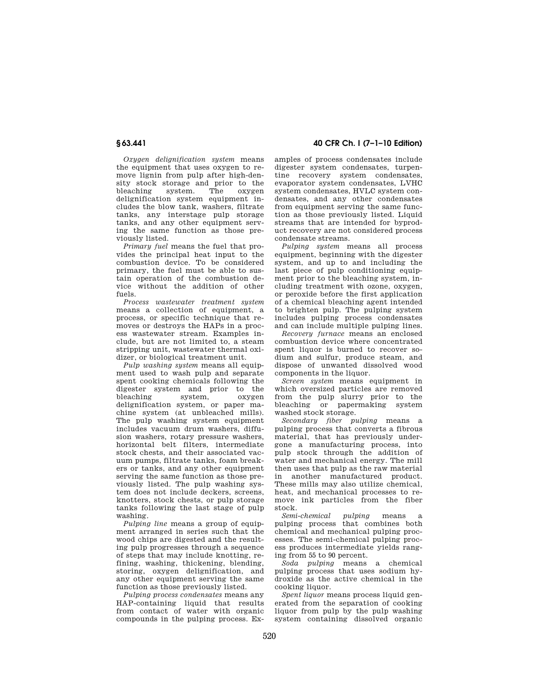*Oxygen delignification system* means the equipment that uses oxygen to remove lignin from pulp after high-density stock storage and prior to the<br>bleaching system. The oxygen bleaching delignification system equipment includes the blow tank, washers, filtrate tanks, any interstage pulp storage tanks, and any other equipment serving the same function as those previously listed.

*Primary fuel* means the fuel that provides the principal heat input to the combustion device. To be considered primary, the fuel must be able to sustain operation of the combustion device without the addition of other  $f_{\text{II}}$ els.

*Process wastewater treatment system*  means a collection of equipment, a process, or specific technique that removes or destroys the HAPs in a process wastewater stream. Examples include, but are not limited to, a steam stripping unit, wastewater thermal oxidizer, or biological treatment unit.

*Pulp washing system* means all equipment used to wash pulp and separate spent cooking chemicals following the digester system and prior to the<br>bleaching system, oxygen system, delignification system, or paper machine system (at unbleached mills). The pulp washing system equipment includes vacuum drum washers, diffusion washers, rotary pressure washers, horizontal belt filters, intermediate stock chests, and their associated vacuum pumps, filtrate tanks, foam breakers or tanks, and any other equipment serving the same function as those previously listed. The pulp washing system does not include deckers, screens, knotters, stock chests, or pulp storage tanks following the last stage of pulp washing.

*Pulping line* means a group of equipment arranged in series such that the wood chips are digested and the resulting pulp progresses through a sequence of steps that may include knotting, refining, washing, thickening, blending, storing, oxygen delignification, and any other equipment serving the same function as those previously listed.

*Pulping process condensates* means any HAP-containing liquid that results from contact of water with organic compounds in the pulping process. Ex-

**§ 63.441 40 CFR Ch. I (7–1–10 Edition)** 

amples of process condensates include digester system condensates, turpentine recovery system condensates, evaporator system condensates, LVHC system condensates, HVLC system condensates, and any other condensates from equipment serving the same function as those previously listed. Liquid streams that are intended for byproduct recovery are not considered process condensate streams.

*Pulping system* means all process equipment, beginning with the digester system, and up to and including the last piece of pulp conditioning equipment prior to the bleaching system, including treatment with ozone, oxygen, or peroxide before the first application of a chemical bleaching agent intended to brighten pulp. The pulping system includes pulping process condensates and can include multiple pulping lines.

*Recovery furnace* means an enclosed combustion device where concentrated spent liquor is burned to recover sodium and sulfur, produce steam, and dispose of unwanted dissolved wood components in the liquor.

*Screen system* means equipment in which oversized particles are removed from the pulp slurry prior to the bleaching or papermaking system washed stock storage.

*Secondary fiber pulping* means a pulping process that converts a fibrous material, that has previously undergone a manufacturing process, into pulp stock through the addition of water and mechanical energy. The mill then uses that pulp as the raw material in another manufactured product. These mills may also utilize chemical, heat, and mechanical processes to remove ink particles from the fiber stock.

*Semi-chemical pulping* means pulping process that combines both chemical and mechanical pulping processes. The semi-chemical pulping process produces intermediate yields ranging from 55 to 90 percent.

*Soda pulping* means a chemical pulping process that uses sodium hydroxide as the active chemical in the cooking liquor.

*Spent liquor* means process liquid generated from the separation of cooking liquor from pulp by the pulp washing system containing dissolved organic